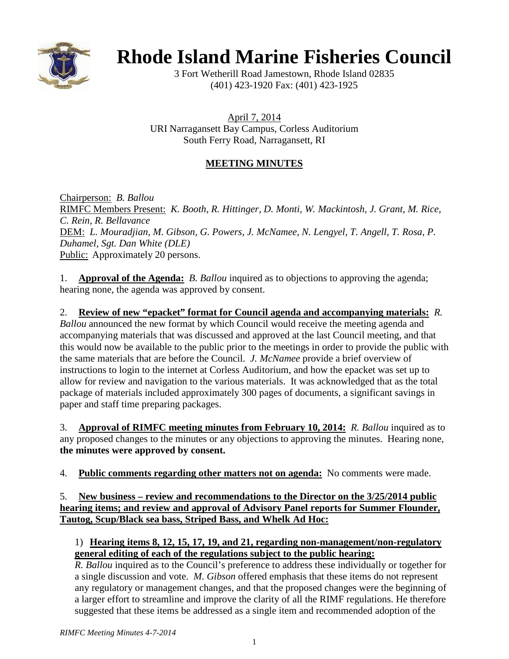

# **Rhode Island Marine Fisheries Council**

3 Fort Wetherill Road Jamestown, Rhode Island 02835 (401) 423-1920 Fax: (401) 423-1925

April 7, 2014 URI Narragansett Bay Campus, Corless Auditorium South Ferry Road, Narragansett, RI

# **MEETING MINUTES**

Chairperson: *B. Ballou* RIMFC Members Present: *K. Booth, R. Hittinger, D. Monti, W. Mackintosh, J. Grant, M. Rice, C. Rein, R. Bellavance* DEM: *L. Mouradjian, M. Gibson, G. Powers, J. McNamee, N. Lengyel, T. Angell, T. Rosa, P. Duhamel, Sgt. Dan White (DLE)* Public: Approximately 20 persons.

1. **Approval of the Agenda:** *B. Ballou* inquired as to objections to approving the agenda; hearing none, the agenda was approved by consent.

2. **Review of new "epacket" format for Council agenda and accompanying materials:** *R. Ballou* announced the new format by which Council would receive the meeting agenda and accompanying materials that was discussed and approved at the last Council meeting, and that this would now be available to the public prior to the meetings in order to provide the public with the same materials that are before the Council. *J. McNamee* provide a brief overview of instructions to login to the internet at Corless Auditorium, and how the epacket was set up to allow for review and navigation to the various materials. It was acknowledged that as the total package of materials included approximately 300 pages of documents, a significant savings in paper and staff time preparing packages.

3. **Approval of RIMFC meeting minutes from February 10, 2014:** *R. Ballou* inquired as to any proposed changes to the minutes or any objections to approving the minutes. Hearing none, **the minutes were approved by consent.**

4. **Public comments regarding other matters not on agenda:** No comments were made.

5. **New business – review and recommendations to the Director on the 3/25/2014 public hearing items; and review and approval of Advisory Panel reports for Summer Flounder, Tautog, Scup/Black sea bass, Striped Bass, and Whelk Ad Hoc:**

## 1) **Hearing items 8, 12, 15, 17, 19, and 21, regarding non-management/non-regulatory general editing of each of the regulations subject to the public hearing:**

*R. Ballou* inquired as to the Council's preference to address these individually or together for a single discussion and vote. *M. Gibson* offered emphasis that these items do not represent any regulatory or management changes, and that the proposed changes were the beginning of a larger effort to streamline and improve the clarity of all the RIMF regulations. He therefore suggested that these items be addressed as a single item and recommended adoption of the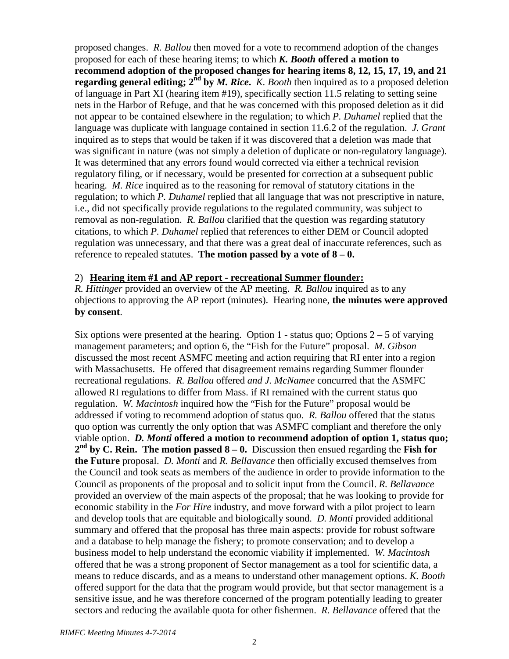proposed changes. *R. Ballou* then moved for a vote to recommend adoption of the changes proposed for each of these hearing items; to which *K. Booth* **offered a motion to recommend adoption of the proposed changes for hearing items 8, 12, 15, 17, 19, and 21 regarding general editing; 2nd by** *M. Rice***.** *K. Booth* then inquired as to a proposed deletion of language in Part XI (hearing item #19), specifically section 11.5 relating to setting seine nets in the Harbor of Refuge, and that he was concerned with this proposed deletion as it did not appear to be contained elsewhere in the regulation; to which *P. Duhamel* replied that the language was duplicate with language contained in section 11.6.2 of the regulation. *J. Grant* inquired as to steps that would be taken if it was discovered that a deletion was made that was significant in nature (was not simply a deletion of duplicate or non-regulatory language). It was determined that any errors found would corrected via either a technical revision regulatory filing, or if necessary, would be presented for correction at a subsequent public hearing. *M. Rice* inquired as to the reasoning for removal of statutory citations in the regulation; to which *P. Duhamel* replied that all language that was not prescriptive in nature, i.e., did not specifically provide regulations to the regulated community, was subject to removal as non-regulation. *R. Ballou* clarified that the question was regarding statutory citations, to which *P. Duhamel* replied that references to either DEM or Council adopted regulation was unnecessary, and that there was a great deal of inaccurate references, such as reference to repealed statutes. The motion passed by a vote of  $8 - 0$ .

#### 2) **Hearing item #1 and AP report - recreational Summer flounder:**

*R. Hittinger* provided an overview of the AP meeting. *R. Ballou* inquired as to any objections to approving the AP report (minutes). Hearing none, **the minutes were approved by consent**.

Six options were presented at the hearing. Option 1 - status quo; Options  $2 - 5$  of varying management parameters; and option 6, the "Fish for the Future" proposal. *M. Gibson* discussed the most recent ASMFC meeting and action requiring that RI enter into a region with Massachusetts. He offered that disagreement remains regarding Summer flounder recreational regulations. *R. Ballou* offered *and J. McNamee* concurred that the ASMFC allowed RI regulations to differ from Mass. if RI remained with the current status quo regulation. *W. Macintosh* inquired how the "Fish for the Future" proposal would be addressed if voting to recommend adoption of status quo. *R. Ballou* offered that the status quo option was currently the only option that was ASMFC compliant and therefore the only viable option. *D. Monti* **offered a motion to recommend adoption of option 1, status quo; 2nd by C. Rein. The motion passed 8 – 0.** Discussion then ensued regarding the **Fish for the Future** proposal. *D. Monti* and *R. Bellavance* then officially excused themselves from the Council and took seats as members of the audience in order to provide information to the Council as proponents of the proposal and to solicit input from the Council. *R. Bellavance* provided an overview of the main aspects of the proposal; that he was looking to provide for economic stability in the *For Hire* industry, and move forward with a pilot project to learn and develop tools that are equitable and biologically sound. *D. Monti* provided additional summary and offered that the proposal has three main aspects: provide for robust software and a database to help manage the fishery; to promote conservation; and to develop a business model to help understand the economic viability if implemented. *W. Macintosh* offered that he was a strong proponent of Sector management as a tool for scientific data, a means to reduce discards, and as a means to understand other management options. *K. Booth* offered support for the data that the program would provide, but that sector management is a sensitive issue, and he was therefore concerned of the program potentially leading to greater sectors and reducing the available quota for other fishermen. *R. Bellavance* offered that the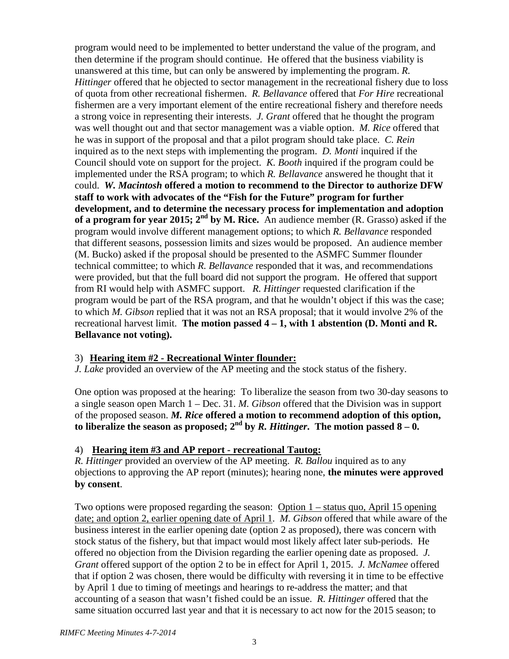program would need to be implemented to better understand the value of the program, and then determine if the program should continue. He offered that the business viability is unanswered at this time, but can only be answered by implementing the program. *R. Hittinger* offered that he objected to sector management in the recreational fishery due to loss of quota from other recreational fishermen. *R. Bellavance* offered that *For Hire* recreational fishermen are a very important element of the entire recreational fishery and therefore needs a strong voice in representing their interests. *J. Grant* offered that he thought the program was well thought out and that sector management was a viable option. *M. Rice* offered that he was in support of the proposal and that a pilot program should take place. *C. Rein* inquired as to the next steps with implementing the program. *D. Monti* inquired if the Council should vote on support for the project. *K. Booth* inquired if the program could be implemented under the RSA program; to which *R. Bellavance* answered he thought that it could. *W. Macintosh* **offered a motion to recommend to the Director to authorize DFW staff to work with advocates of the "Fish for the Future" program for further development, and to determine the necessary process for implementation and adoption of a program for year 2015; 2<sup>nd</sup> by M. Rice.** An audience member (R. Grasso) asked if the program would involve different management options; to which *R. Bellavance* responded that different seasons, possession limits and sizes would be proposed. An audience member (M. Bucko) asked if the proposal should be presented to the ASMFC Summer flounder technical committee; to which *R. Bellavance* responded that it was, and recommendations were provided, but that the full board did not support the program. He offered that support from RI would help with ASMFC support. *R. Hittinger* requested clarification if the program would be part of the RSA program, and that he wouldn't object if this was the case; to which *M. Gibson* replied that it was not an RSA proposal; that it would involve 2% of the recreational harvest limit. **The motion passed 4 – 1, with 1 abstention (D. Monti and R. Bellavance not voting).**

#### 3) **Hearing item #2 - Recreational Winter flounder:**

*J. Lake* provided an overview of the AP meeting and the stock status of the fishery.

One option was proposed at the hearing: To liberalize the season from two 30-day seasons to a single season open March 1 – Dec. 31. *M. Gibson* offered that the Division was in support of the proposed season. *M. Rice* **offered a motion to recommend adoption of this option,**  to liberalize the season as proposed;  $2<sup>nd</sup>$  by *R. Hittinger*. The motion passed  $8-0$ .

#### 4) **Hearing item #3 and AP report - recreational Tautog:**

*R. Hittinger* provided an overview of the AP meeting. *R. Ballou* inquired as to any objections to approving the AP report (minutes); hearing none, **the minutes were approved by consent**.

Two options were proposed regarding the season: Option 1 – status quo, April 15 opening date; and option 2, earlier opening date of April 1. *M. Gibson* offered that while aware of the business interest in the earlier opening date (option 2 as proposed), there was concern with stock status of the fishery, but that impact would most likely affect later sub-periods. He offered no objection from the Division regarding the earlier opening date as proposed. *J. Grant* offered support of the option 2 to be in effect for April 1, 2015. *J. McNamee* offered that if option 2 was chosen, there would be difficulty with reversing it in time to be effective by April 1 due to timing of meetings and hearings to re-address the matter; and that accounting of a season that wasn't fished could be an issue. *R. Hittinger* offered that the same situation occurred last year and that it is necessary to act now for the 2015 season; to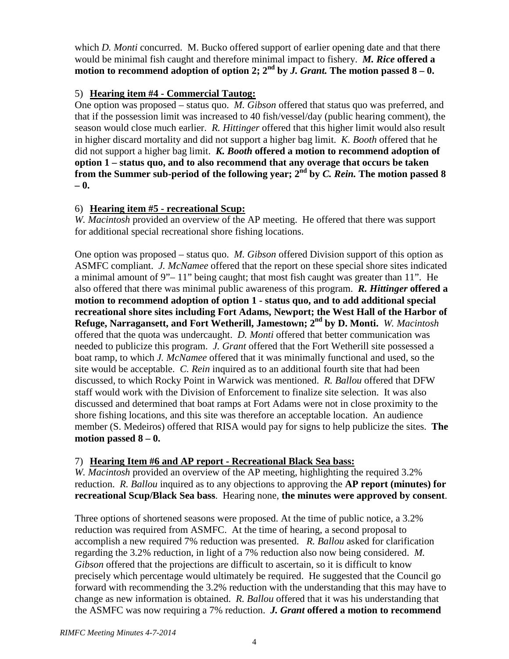which *D. Monti* concurred. M. Bucko offered support of earlier opening date and that there would be minimal fish caught and therefore minimal impact to fishery. *M. Rice* **offered a motion to recommend adoption of option 2;**  $2^{nd}$  by *J. Grant.* The motion passed  $8-0$ .

#### 5) **Hearing item #4 - Commercial Tautog:**

One option was proposed – status quo. *M. Gibson* offered that status quo was preferred, and that if the possession limit was increased to 40 fish/vessel/day (public hearing comment), the season would close much earlier. *R. Hittinger* offered that this higher limit would also result in higher discard mortality and did not support a higher bag limit. *K. Booth* offered that he did not support a higher bag limit. *K. Booth* **offered a motion to recommend adoption of option 1 – status quo, and to also recommend that any overage that occurs be taken**  from the Summer sub-period of the following year; 2<sup>nd</sup> by *C. Rein.* The motion passed 8 **– 0.**

#### 6) **Hearing item #5 - recreational Scup:**

*W. Macintosh* provided an overview of the AP meeting. He offered that there was support for additional special recreational shore fishing locations.

One option was proposed – status quo. *M. Gibson* offered Division support of this option as ASMFC compliant. *J. McNamee* offered that the report on these special shore sites indicated a minimal amount of 9"– 11" being caught; that most fish caught was greater than 11". He also offered that there was minimal public awareness of this program. *R. Hittinger* **offered a motion to recommend adoption of option 1 - status quo, and to add additional special recreational shore sites including Fort Adams, Newport; the West Hall of the Harbor of Refuge, Narragansett, and Fort Wetherill, Jamestown; 2nd by D. Monti.** *W. Macintosh* offered that the quota was undercaught. *D. Monti* offered that better communication was needed to publicize this program. *J. Grant* offered that the Fort Wetherill site possessed a boat ramp, to which *J. McNamee* offered that it was minimally functional and used, so the site would be acceptable. *C. Rein* inquired as to an additional fourth site that had been discussed, to which Rocky Point in Warwick was mentioned. *R. Ballou* offered that DFW staff would work with the Division of Enforcement to finalize site selection. It was also discussed and determined that boat ramps at Fort Adams were not in close proximity to the shore fishing locations, and this site was therefore an acceptable location. An audience member (S. Medeiros) offered that RISA would pay for signs to help publicize the sites. **The motion passed 8 – 0.**

#### 7) **Hearing Item #6 and AP report - Recreational Black Sea bass:**

*W. Macintosh* provided an overview of the AP meeting, highlighting the required 3.2% reduction. *R. Ballou* inquired as to any objections to approving the **AP report (minutes) for recreational Scup/Black Sea bass**. Hearing none, **the minutes were approved by consent**.

Three options of shortened seasons were proposed. At the time of public notice, a 3.2% reduction was required from ASMFC. At the time of hearing, a second proposal to accomplish a new required 7% reduction was presented. *R. Ballou* asked for clarification regarding the 3.2% reduction, in light of a 7% reduction also now being considered. *M. Gibson* offered that the projections are difficult to ascertain, so it is difficult to know precisely which percentage would ultimately be required. He suggested that the Council go forward with recommending the 3.2% reduction with the understanding that this may have to change as new information is obtained. *R. Ballou* offered that it was his understanding that the ASMFC was now requiring a 7% reduction. *J. Grant* **offered a motion to recommend**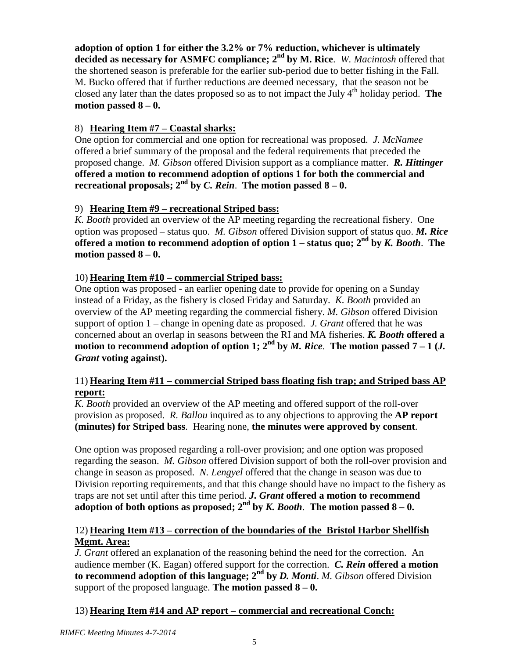**adoption of option 1 for either the 3.2% or 7% reduction, whichever is ultimately decided as necessary for ASMFC compliance; 2nd by M. Rice**. *W. Macintosh* offered that the shortened season is preferable for the earlier sub-period due to better fishing in the Fall. M. Bucko offered that if further reductions are deemed necessary, that the season not be closed any later than the dates proposed so as to not impact the July  $4<sup>th</sup>$  holiday period. **The motion passed 8 – 0.**

## 8) **Hearing Item #7 – Coastal sharks:**

One option for commercial and one option for recreational was proposed. *J. McNamee* offered a brief summary of the proposal and the federal requirements that preceded the proposed change. *M. Gibson* offered Division support as a compliance matter. *R. Hittinger*  **offered a motion to recommend adoption of options 1 for both the commercial and recreational proposals;**  $2^{nd}$  **by** *C. Rein***. The motion passed**  $8-0$ **.** 

## 9) **Hearing Item #9 – recreational Striped bass:**

*K. Booth* provided an overview of the AP meeting regarding the recreational fishery. One option was proposed – status quo. *M. Gibson* offered Division support of status quo. *M. Rice* **offered a motion to recommend adoption of option 1 – status quo; 2nd by** *K. Booth*. **The motion passed 8 – 0.**

## 10) **Hearing Item #10 – commercial Striped bass:**

One option was proposed - an earlier opening date to provide for opening on a Sunday instead of a Friday, as the fishery is closed Friday and Saturday. *K. Booth* provided an overview of the AP meeting regarding the commercial fishery. *M. Gibson* offered Division support of option 1 – change in opening date as proposed. *J. Grant* offered that he was concerned about an overlap in seasons between the RI and MA fisheries. *K. Booth* **offered a motion to recommend adoption of option 1;**  $2^{nd}$  **by** *M. Rice***. The motion passed**  $7 - 1$  **(***J.***)** *Grant* **voting against).**

#### 11) **Hearing Item #11 – commercial Striped bass floating fish trap; and Striped bass AP report:**

*K. Booth* provided an overview of the AP meeting and offered support of the roll-over provision as proposed. *R. Ballou* inquired as to any objections to approving the **AP report (minutes) for Striped bass**. Hearing none, **the minutes were approved by consent**.

One option was proposed regarding a roll-over provision; and one option was proposed regarding the season. *M. Gibson* offered Division support of both the roll-over provision and change in season as proposed. *N. Lengyel* offered that the change in season was due to Division reporting requirements, and that this change should have no impact to the fishery as traps are not set until after this time period. *J. Grant* **offered a motion to recommend adoption of both options as proposed;**  $2^{nd}$  by *K. Booth.* The motion passed  $8-0$ .

#### 12) **Hearing Item #13 – correction of the boundaries of the Bristol Harbor Shellfish Mgmt. Area:**

*J. Grant* offered an explanation of the reasoning behind the need for the correction. An audience member (K. Eagan) offered support for the correction. *C. Rein* **offered a motion to recommend adoption of this language;**  $2^{nd}$  **by** *D. Monti. M. Gibson* **offered Division** support of the proposed language. **The motion passed**  $8 - 0$ **.** 

# 13) **Hearing Item #14 and AP report – commercial and recreational Conch:**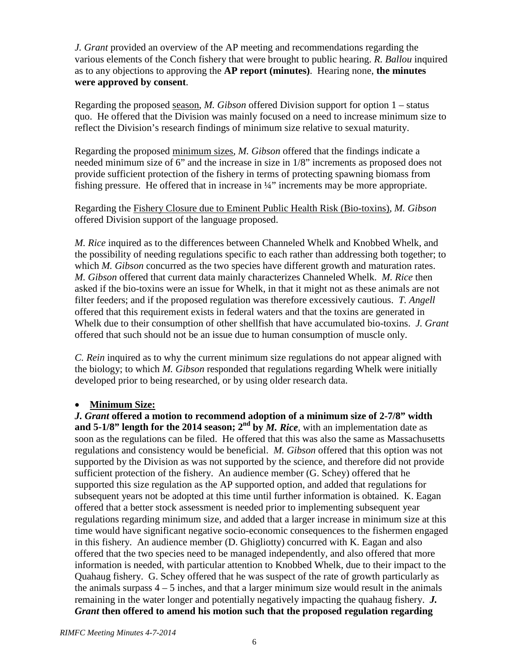*J. Grant* provided an overview of the AP meeting and recommendations regarding the various elements of the Conch fishery that were brought to public hearing. *R. Ballou* inquired as to any objections to approving the **AP report (minutes)**. Hearing none, **the minutes were approved by consent**.

Regarding the proposed season, *M. Gibson* offered Division support for option 1 – status quo. He offered that the Division was mainly focused on a need to increase minimum size to reflect the Division's research findings of minimum size relative to sexual maturity.

Regarding the proposed minimum sizes, *M. Gibson* offered that the findings indicate a needed minimum size of 6" and the increase in size in 1/8" increments as proposed does not provide sufficient protection of the fishery in terms of protecting spawning biomass from fishing pressure. He offered that in increase in ¼" increments may be more appropriate.

Regarding the Fishery Closure due to Eminent Public Health Risk (Bio-toxins), *M. Gibson* offered Division support of the language proposed.

*M. Rice* inquired as to the differences between Channeled Whelk and Knobbed Whelk, and the possibility of needing regulations specific to each rather than addressing both together; to which *M. Gibson* concurred as the two species have different growth and maturation rates. *M. Gibson* offered that current data mainly characterizes Channeled Whelk. *M. Rice* then asked if the bio-toxins were an issue for Whelk, in that it might not as these animals are not filter feeders; and if the proposed regulation was therefore excessively cautious. *T. Angell* offered that this requirement exists in federal waters and that the toxins are generated in Whelk due to their consumption of other shellfish that have accumulated bio-toxins. *J. Grant* offered that such should not be an issue due to human consumption of muscle only.

*C. Rein* inquired as to why the current minimum size regulations do not appear aligned with the biology; to which *M. Gibson* responded that regulations regarding Whelk were initially developed prior to being researched, or by using older research data.

#### • **Minimum Size:**

*J. Grant* **offered a motion to recommend adoption of a minimum size of 2-7/8" width and 5-1/8" length for the 2014 season;**  $2^{nd}$  **by M. Rice, with an implementation date as** soon as the regulations can be filed. He offered that this was also the same as Massachusetts regulations and consistency would be beneficial. *M. Gibson* offered that this option was not supported by the Division as was not supported by the science, and therefore did not provide sufficient protection of the fishery. An audience member (G. Schey) offered that he supported this size regulation as the AP supported option, and added that regulations for subsequent years not be adopted at this time until further information is obtained. K. Eagan offered that a better stock assessment is needed prior to implementing subsequent year regulations regarding minimum size, and added that a larger increase in minimum size at this time would have significant negative socio-economic consequences to the fishermen engaged in this fishery. An audience member (D. Ghigliotty) concurred with K. Eagan and also offered that the two species need to be managed independently, and also offered that more information is needed, with particular attention to Knobbed Whelk, due to their impact to the Quahaug fishery. G. Schey offered that he was suspect of the rate of growth particularly as the animals surpass  $4 - 5$  inches, and that a larger minimum size would result in the animals remaining in the water longer and potentially negatively impacting the quahaug fishery. *J. Grant* **then offered to amend his motion such that the proposed regulation regarding**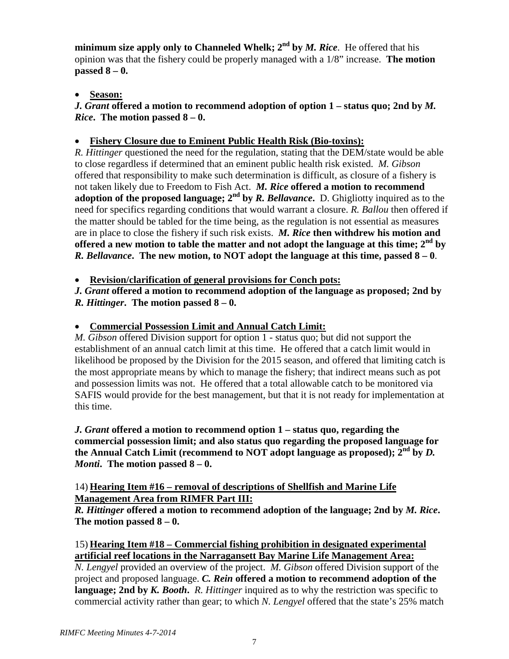**minimum size apply only to Channeled Whelk; 2nd by** *M. Rice*. He offered that his opinion was that the fishery could be properly managed with a 1/8" increase. **The motion passed 8 – 0.**

#### • **Season:**

#### *J. Grant* **offered a motion to recommend adoption of option 1 – status quo; 2nd by** *M. Rice***. The motion passed 8 – 0.**

## • **Fishery Closure due to Eminent Public Health Risk (Bio-toxins):**

*R. Hittinger* questioned the need for the regulation, stating that the DEM/state would be able to close regardless if determined that an eminent public health risk existed. *M. Gibson* offered that responsibility to make such determination is difficult, as closure of a fishery is not taken likely due to Freedom to Fish Act. *M. Rice* **offered a motion to recommend adoption of the proposed language;**  $2^{nd}$  **by** *R. Bellavance*. D. Ghigliotty inquired as to the need for specifics regarding conditions that would warrant a closure. *R. Ballou* then offered if the matter should be tabled for the time being, as the regulation is not essential as measures are in place to close the fishery if such risk exists. *M. Rice* **then withdrew his motion and offered a new motion to table the matter and not adopt the language at this time;**  $2^{nd}$  **by** *R. Bellavance***. The new motion, to NOT adopt the language at this time, passed 8 – 0**.

• **Revision/clarification of general provisions for Conch pots:**

*J. Grant* **offered a motion to recommend adoption of the language as proposed; 2nd by**  *R. Hittinger***. The motion passed 8 – 0.**

#### • **Commercial Possession Limit and Annual Catch Limit:**

*M. Gibson* offered Division support for option 1 - status quo; but did not support the establishment of an annual catch limit at this time. He offered that a catch limit would in likelihood be proposed by the Division for the 2015 season, and offered that limiting catch is the most appropriate means by which to manage the fishery; that indirect means such as pot and possession limits was not. He offered that a total allowable catch to be monitored via SAFIS would provide for the best management, but that it is not ready for implementation at this time.

*J. Grant* **offered a motion to recommend option 1 – status quo, regarding the commercial possession limit; and also status quo regarding the proposed language for the Annual Catch Limit (recommend to NOT adopt language as proposed); 2nd by** *D. Monti***. The motion passed 8 – 0.**

#### 14) **Hearing Item #16 – removal of descriptions of Shellfish and Marine Life Management Area from RIMFR Part III:**

*R. Hittinger* **offered a motion to recommend adoption of the language; 2nd by** *M. Rice***. The motion passed 8 – 0.**

## 15) **Hearing Item #18 – Commercial fishing prohibition in designated experimental artificial reef locations in the Narragansett Bay Marine Life Management Area:**

*N. Lengyel* provided an overview of the project. *M. Gibson* offered Division support of the project and proposed language. *C. Rein* **offered a motion to recommend adoption of the language; 2nd by** *K. Booth***.** *R. Hittinger* inquired as to why the restriction was specific to commercial activity rather than gear; to which *N. Lengyel* offered that the state's 25% match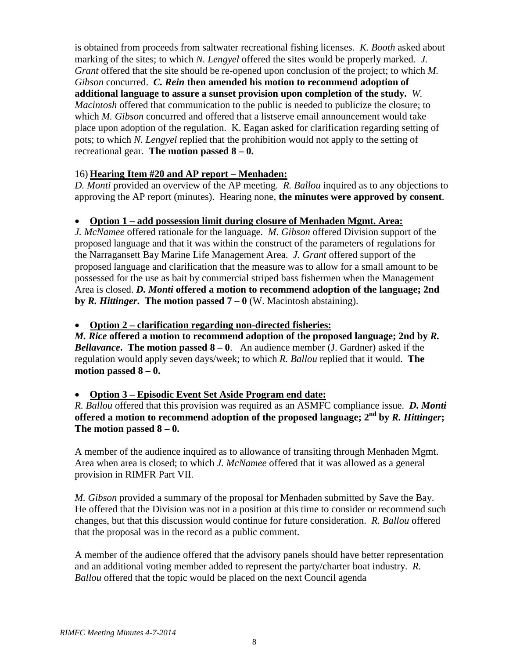is obtained from proceeds from saltwater recreational fishing licenses. *K. Booth* asked about marking of the sites; to which *N. Lengyel* offered the sites would be properly marked. *J. Grant* offered that the site should be re-opened upon conclusion of the project; to which *M. Gibson* concurred. *C. Rein* **then amended his motion to recommend adoption of additional language to assure a sunset provision upon completion of the study.** *W. Macintosh* offered that communication to the public is needed to publicize the closure; to which *M. Gibson* concurred and offered that a listserve email announcement would take place upon adoption of the regulation. K. Eagan asked for clarification regarding setting of pots; to which *N. Lengyel* replied that the prohibition would not apply to the setting of recreational gear. **The motion passed 8 – 0.**

#### 16) **Hearing Item #20 and AP report – Menhaden:**

*D. Monti* provided an overview of the AP meeting. *R. Ballou* inquired as to any objections to approving the AP report (minutes). Hearing none, **the minutes were approved by consent**.

#### • **Option 1 – add possession limit during closure of Menhaden Mgmt. Area:**

*J. McNamee* offered rationale for the language. *M. Gibson* offered Division support of the proposed language and that it was within the construct of the parameters of regulations for the Narragansett Bay Marine Life Management Area. *J. Grant* offered support of the proposed language and clarification that the measure was to allow for a small amount to be possessed for the use as bait by commercial striped bass fishermen when the Management Area is closed. *D. Monti* **offered a motion to recommend adoption of the language; 2nd by** *R. Hittinger***. The motion passed 7 – 0** (W. Macintosh abstaining).

• **Option 2 – clarification regarding non-directed fisheries:**

*M. Rice* **offered a motion to recommend adoption of the proposed language; 2nd by** *R. Bellavance***. The motion passed 8 – 0**. An audience member (J. Gardner) asked if the regulation would apply seven days/week; to which *R. Ballou* replied that it would. **The motion passed 8 – 0.**

#### • **Option 3 – Episodic Event Set Aside Program end date:**

*R. Ballou* offered that this provision was required as an ASMFC compliance issue. *D. Monti* **offered a motion to recommend adoption of the proposed language; 2nd by** *R. Hittinger***; The motion passed 8 – 0.**

A member of the audience inquired as to allowance of transiting through Menhaden Mgmt. Area when area is closed; to which *J. McNamee* offered that it was allowed as a general provision in RIMFR Part VII.

*M. Gibson* provided a summary of the proposal for Menhaden submitted by Save the Bay. He offered that the Division was not in a position at this time to consider or recommend such changes, but that this discussion would continue for future consideration. *R. Ballou* offered that the proposal was in the record as a public comment.

A member of the audience offered that the advisory panels should have better representation and an additional voting member added to represent the party/charter boat industry. *R. Ballou* offered that the topic would be placed on the next Council agenda